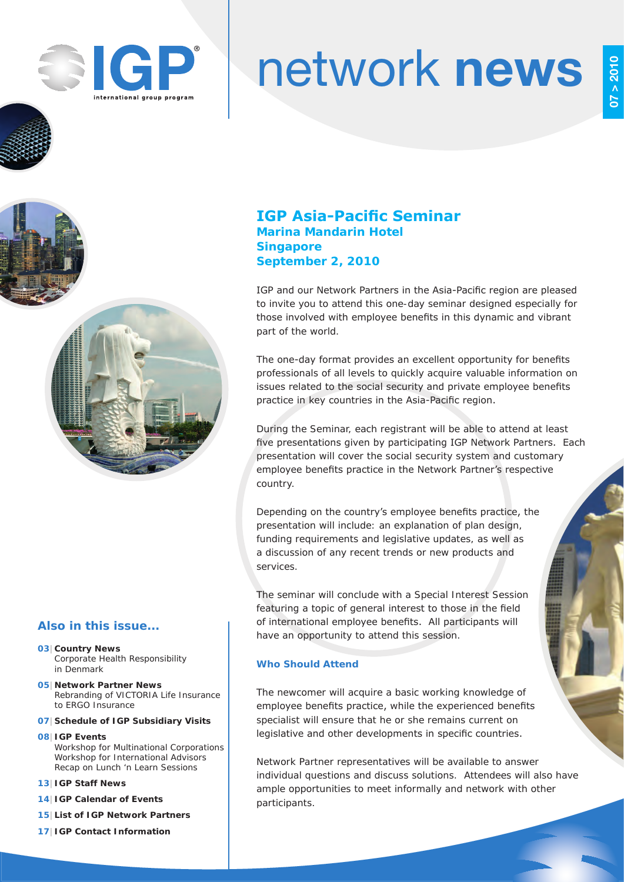

# network news

## **IGP Asia-Pacific Seminar Marina Mandarin Hotel Singapore September 2, 2010**

IGP and our Network Partners in the Asia-Pacific region are pleased to invite you to attend this one-day seminar designed especially for those involved with employee benefits in this dynamic and vibrant part of the world.

The one-day format provides an excellent opportunity for benefits professionals of all levels to quickly acquire valuable information on issues related to the social security and private employee benefits practice in key countries in the Asia-Pacific region.

During the Seminar, each registrant will be able to attend at least five presentations given by participating IGP Network Partners. Each presentation will cover the social security system and customary employee benefits practice in the Network Partner's respective country.

Depending on the country's employee benefits practice, the presentation will include: an explanation of plan design, funding requirements and legislative updates, as well as a discussion of any recent trends or new products and services.

The seminar will conclude with a Special Interest Session featuring a topic of general interest to those in the field of international employee benefits. All participants will have an opportunity to attend this session.

#### **Who Should Attend**

The newcomer will acquire a basic working knowledge of employee benefits practice, while the experienced benefits specialist will ensure that he or she remains current on legislative and other developments in specific countries.

Network Partner representatives will be available to answer individual questions and discuss solutions. Attendees will also have ample opportunities to meet informally and network with other participants.

## **Also in this issue...**

- **03|Country News** Corporate Health Responsibility in Denmark
- **05|Network Partner News** Rebranding of VICTORIA Life Insurance to ERGO Insurance
- **07|Schedule of IGP Subsidiary Visits**
- **08|IGP Events** Workshop for Multinational Corporations Workshop for International Advisors Recap on Lunch 'n Learn Sessions
- **13|IGP Staff News**
- **14|IGP Calendar of Events**
- **15|List of IGP Network Partners**
- **17|IGP Contact Information**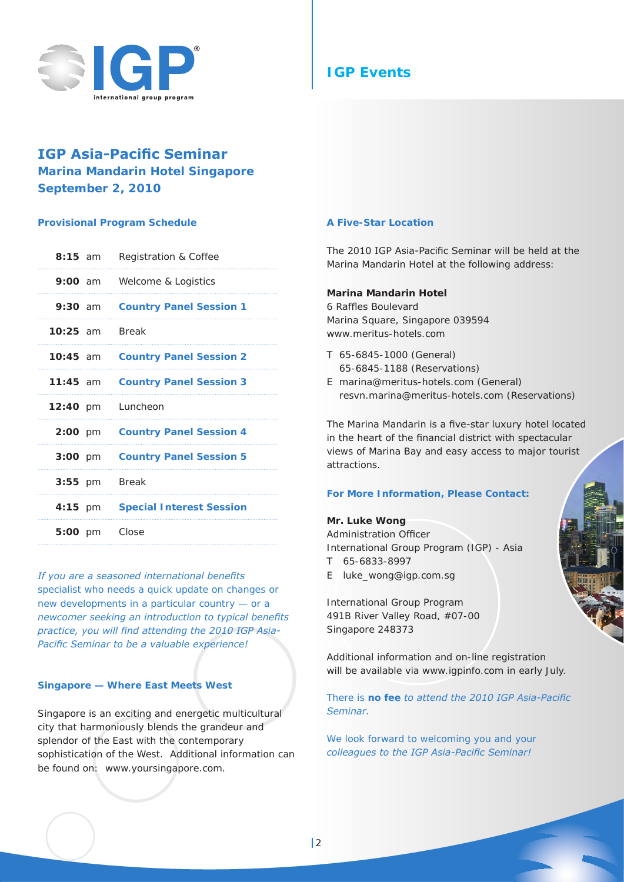

## **IGP Asia-Pacific Seminar Marina Mandarin Hotel Singapore September 2, 2010**

#### **Provisional Program Schedule**

| $8:15$ am            | Registration & Coffee           |
|----------------------|---------------------------------|
| $9:00$ am            | Welcome & Logistics             |
| $9:30$ am            | <b>Country Panel Session 1</b>  |
| $10:25$ am           | <b>Break</b>                    |
| $10:45$ am           | <b>Country Panel Session 2</b>  |
| $11:45$ am           | <b>Country Panel Session 3</b>  |
| $12:40 \, \text{pm}$ | Luncheon                        |
| $2:00 \, \text{pm}$  | <b>Country Panel Session 4</b>  |
|                      |                                 |
| $3:00 \, \text{pm}$  | <b>Country Panel Session 5</b>  |
| $3:55$ pm            | <b>Break</b>                    |
| $4:15$ pm            | <b>Special Interest Session</b> |
| $5:00 \; \text{pm}$  | Close                           |

*If you are a seasoned international benefits specialist who needs a quick update on changes or new developments in a particular country — or a newcomer seeking an introduction to typical benefits practice, you will find attending the 2010 IGP Asia-Pacific Seminar to be a valuable experience!*

#### **Singapore — Where East Meets West**

Singapore is an exciting and energetic multicultural city that harmoniously blends the grandeur and splendor of the East with the contemporary sophistication of the West. Additional information can be found on: www.yoursingapore.com.

#### **A Five-Star Location**

The 2010 IGP Asia-Pacific Seminar will be held at the Marina Mandarin Hotel at the following address:

#### **Marina Mandarin Hotel**

6 Raffles Boulevard Marina Square, Singapore 039594 www.meritus-hotels.com

- T 65-6845-1000 (General) 65-6845-1188 (Reservations)
- E marina@meritus-hotels.com (General) resvn.marina@meritus-hotels.com (Reservations)

The Marina Mandarin is a five-star luxury hotel located in the heart of the financial district with spectacular views of Marina Bay and easy access to major tourist attractions.

#### **For More Information, Please Contact:**

#### **Mr. Luke Wong**

Administration Officer International Group Program (IGP) - Asia T 65-6833-8997

E luke\_wong@igp.com.sg

International Group Program 491B River Valley Road, #07-00 Singapore 248373

Additional information and on-line registration will be available via www.igpinfo.com in early July.

*There is no fee to attend the 2010 IGP Asia-Pacific Seminar.*

*We look forward to welcoming you and your colleagues to the IGP Asia-Pacific Seminar!*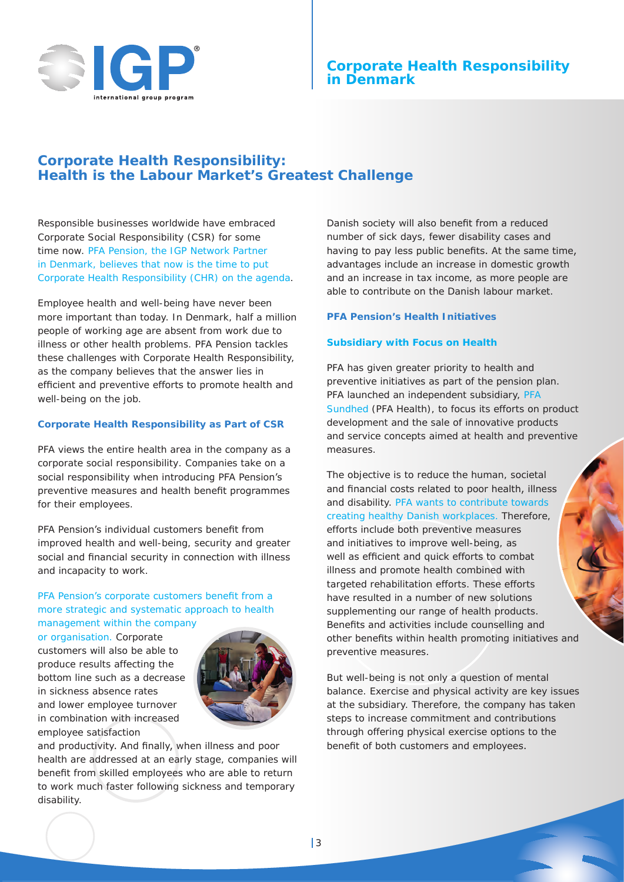

## **Corporate Health Responsibility: Health is the Labour Market's Greatest Challenge**

Responsible businesses worldwide have embraced Corporate Social Responsibility (CSR) for some time now. PFA Pension, the IGP Network Partner in Denmark, believes that now is the time to put Corporate Health Responsibility (CHR) on the agenda.

Employee health and well-being have never been more important than today. In Denmark, half a million people of working age are absent from work due to illness or other health problems. PFA Pension tackles these challenges with Corporate Health Responsibility, as the company believes that the answer lies in efficient and preventive efforts to promote health and well-being on the job.

#### **Corporate Health Responsibility as Part of CSR**

PFA views the entire health area in the company as a *corporate social responsibility*. Companies take on a social responsibility when introducing PFA Pension's preventive measures and health benefit programmes for their employees.

PFA Pension's individual customers benefit from improved health and well-being, security and greater social and financial security in connection with illness and incapacity to work.

#### PFA Pension's corporate customers benefit from a more strategic and systematic approach to health management within the company

or organisation. Corporate customers will also be able to produce results affecting the bottom line such as a decrease in sickness absence rates and lower employee turnover in combination with increased employee satisfaction



and productivity. And finally, when illness and poor health are addressed at an early stage, companies will benefit from skilled employees who are able to return to work much faster following sickness and temporary disability.

Danish society will also benefit from a reduced number of sick days, fewer disability cases and having to pay less public benefits. At the same time, advantages include an increase in domestic growth and an increase in tax income, as more people are able to contribute on the Danish labour market.

#### **PFA Pension's Health Initiatives**

#### **Subsidiary with Focus on Health**

PFA has given greater priority to health and preventive initiatives as part of the pension plan. PFA launched an independent subsidiary, PFA Sundhed (PFA Health), to focus its efforts on product development and the sale of innovative products and service concepts aimed at health and preventive measures.

The objective is to reduce the human, societal and financial costs related to poor health, illness and disability. PFA wants to contribute towards creating healthy Danish workplaces. Therefore, efforts include both preventive measures and initiatives to improve well-being, as well as efficient and quick efforts to combat illness and promote health combined with targeted rehabilitation efforts. These efforts have resulted in a number of new solutions supplementing our range of health products. Benefits and activities include counselling and other benefits within health promoting initiatives and preventive measures.

But well-being is not only a question of mental balance. Exercise and physical activity are key issues at the subsidiary. Therefore, the company has taken steps to increase commitment and contributions through offering physical exercise options to the benefit of both customers and employees.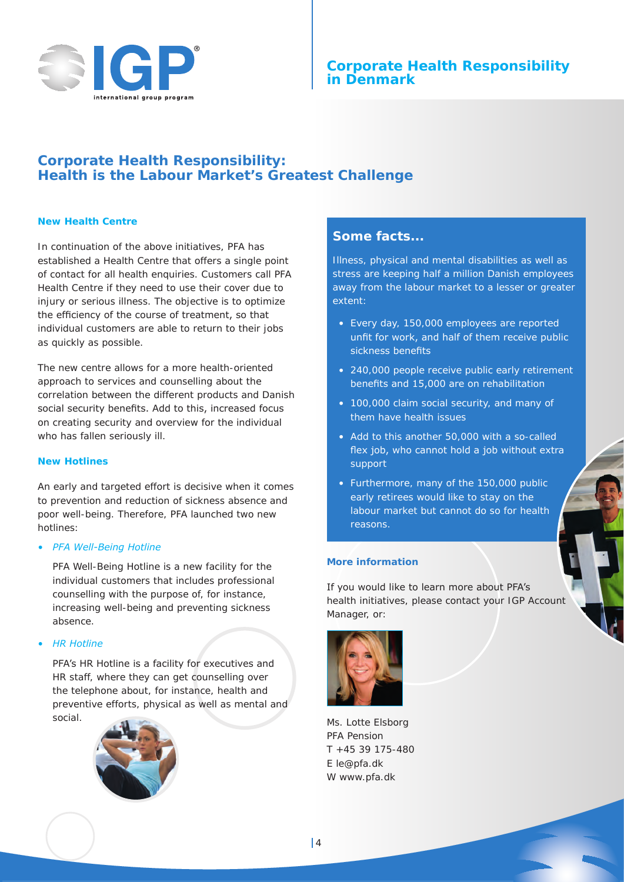

## **Corporate Health Responsibility: Health is the Labour Market's Greatest Challenge**

#### **New Health Centre**

In continuation of the above initiatives, PFA has established a Health Centre that offers a single point of contact for all health enquiries. Customers call PFA Health Centre if they need to use their cover due to injury or serious illness. The objective is to optimize the efficiency of the course of treatment, so that individual customers are able to return to their jobs as quickly as possible.

The new centre allows for a more health-oriented approach to services and counselling about the correlation between the different products and Danish social security benefits. Add to this, increased focus on creating security and overview for the individual who has fallen seriously ill.

#### **New Hotlines**

An early and targeted effort is decisive when it comes to prevention and reduction of sickness absence and poor well-being. Therefore, PFA launched two new hotlines:

#### *• PFA Well-Being Hotline*

PFA Well-Being Hotline is a new facility for the individual customers that includes professional counselling with the purpose of, for instance, increasing well-being and preventing sickness absence.

#### *• HR Hotline*

PFA's HR Hotline is a facility for executives and HR staff, where they can get counselling over the telephone about, for instance, health and preventive efforts, physical as well as mental and social.



## **Some facts...**

Illness, physical and mental disabilities as well as stress are keeping half a million Danish employees away from the labour market to a lesser or greater extent:

- Every day, 150,000 employees are reported unfit for work, and half of them receive public sickness benefits
- 240,000 people receive public early retirement benefits and 15,000 are on rehabilitation
- 100,000 claim social security, and many of them have health issues
- Add to this another 50,000 with a so-called flex job, who cannot hold a job without extra support
- Furthermore, many of the 150,000 public early retirees would like to stay on the labour market but cannot do so for health reasons.

#### **More information**

If you would like to learn more about PFA's health initiatives, please contact your IGP Account Manager, or:



Ms. Lotte Elsborg PFA Pension T +45 39 175-480 E le@pfa.dk W www.pfa.dk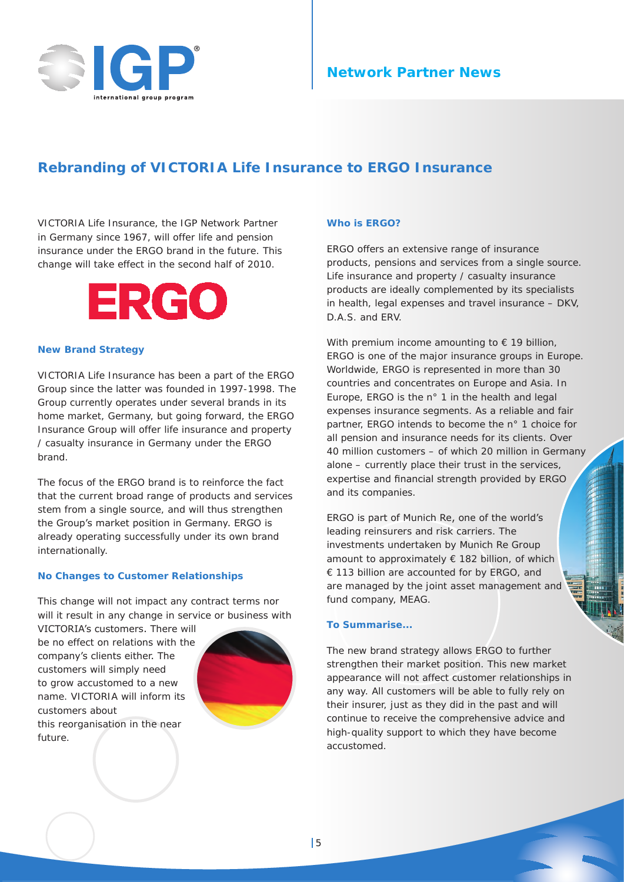

## **Network Partner News**

## **Rebranding of VICTORIA Life Insurance to ERGO Insurance**

VICTORIA Life Insurance, the IGP Network Partner in Germany since 1967, will offer life and pension insurance under the ERGO brand in the future. This change will take effect in the second half of 2010.



#### **New Brand Strategy**

VICTORIA Life Insurance has been a part of the ERGO Group since the latter was founded in 1997-1998. The Group currently operates under several brands in its home market, Germany, but going forward, the ERGO Insurance Group will offer life insurance and property / casualty insurance in Germany under the ERGO brand.

The focus of the ERGO brand is to reinforce the fact that the current broad range of products and services stem from a single source, and will thus strengthen the Group's market position in Germany. ERGO is already operating successfully under its own brand internationally.

#### **No Changes to Customer Relationships**

This change will not impact any contract terms nor will it result in any change in service or business with

VICTORIA's customers. There will be no effect on relations with the company's clients either. The customers will simply need to grow accustomed to a new name. VICTORIA will inform its customers about this reorganisation in the near future.



#### **Who is ERGO?**

ERGO offers an extensive range of insurance products, pensions and services from a single source. Life insurance and property / casualty insurance products are ideally complemented by its specialists in health, legal expenses and travel insurance – DKV, D.A.S. and ERV.

With premium income amounting to  $\epsilon$  19 billion, ERGO is one of the major insurance groups in Europe. Worldwide, ERGO is represented in more than 30 countries and concentrates on Europe and Asia. In Europe, ERGO is the n° 1 in the health and legal expenses insurance segments. As a reliable and fair partner, ERGO intends to become the n° 1 choice for all pension and insurance needs for its clients. Over 40 million customers – of which 20 million in Germany alone – currently place their trust in the services, expertise and financial strength provided by ERGO and its companies.

ERGO is part of Munich Re, one of the world's leading reinsurers and risk carriers. The investments undertaken by Munich Re Group amount to approximately € 182 billion, of which € 113 billion are accounted for by ERGO, and are managed by the joint asset management and fund company, MEAG.

#### **To Summarise...**

The new brand strategy allows ERGO to further strengthen their market position. This new market appearance will not affect customer relationships in any way. All customers will be able to fully rely on their insurer, just as they did in the past and will continue to receive the comprehensive advice and high-quality support to which they have become accustomed.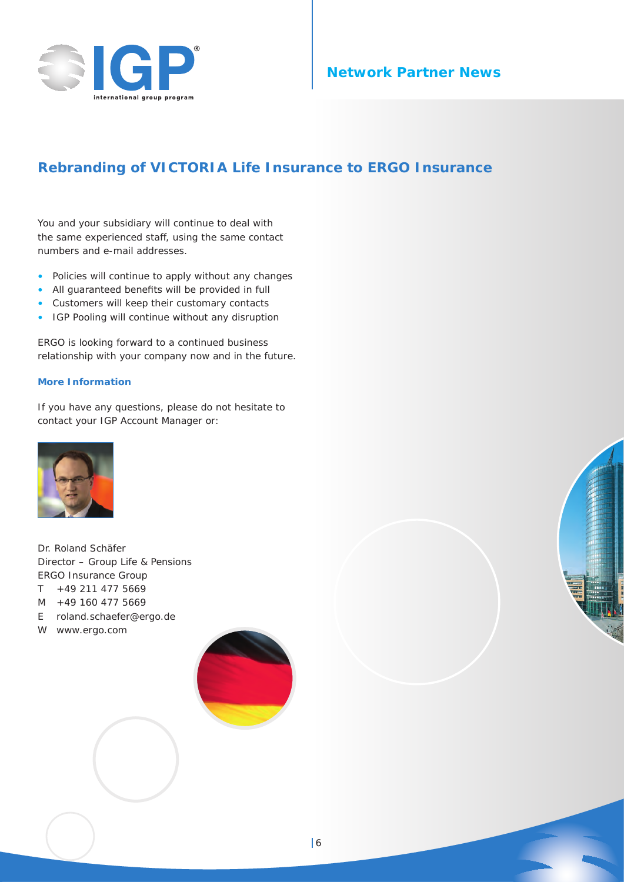

## **Network Partner News**

## **Rebranding of VICTORIA Life Insurance to ERGO Insurance**

You and your subsidiary will continue to deal with the same experienced staff, using the same contact numbers and e-mail addresses.

- Policies will continue to apply without any changes
- All guaranteed benefits will be provided in full
- Customers will keep their customary contacts
- IGP Pooling will continue without any disruption

ERGO is looking forward to a continued business relationship with your company now and in the future.

#### **More Information**

If you have any questions, please do not hesitate to contact your IGP Account Manager or:



Dr. Roland Schäfer Director – Group Life & Pensions ERGO Insurance Group T +49 211 477 5669 M +49 160 477 5669 E roland.schaefer@ergo.de

W www.ergo.com

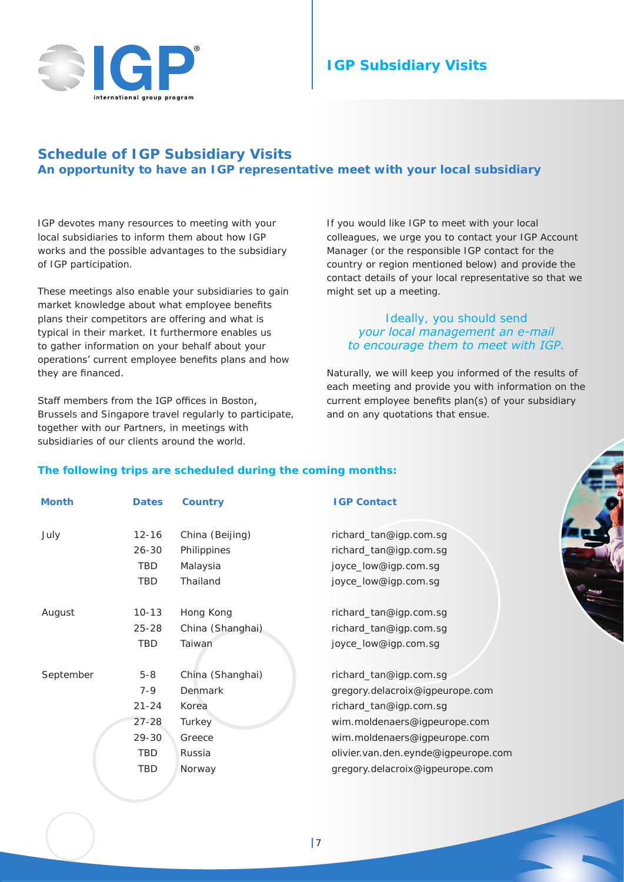

# **IGP Subsidiary Visits**

## **Schedule of IGP Subsidiary Visits An opportunity to have an IGP representative meet with your local subsidiary**

IGP devotes many resources to meeting with your local subsidiaries to inform them about how IGP works and the possible advantages to the subsidiary of IGP participation.

These meetings also enable your subsidiaries to gain market knowledge about what employee benefits plans their competitors are offering and what is typical in their market. It furthermore enables us to gather information on your behalf about your operations' current employee benefits plans and how they are financed.

Staff members from the IGP offices in Boston, Brussels and Singapore travel regularly to participate, together with our Partners, in meetings with subsidiaries of our clients around the world.

If you would like IGP to meet with your local colleagues, we urge you to contact your IGP Account Manager (or the responsible IGP contact for the country or region mentioned below) and provide the contact details of your local representative so that we might set up a meeting.

#### *Ideally, you should send your local management an e-mail to encourage them to meet with IGP.*

Naturally, we will keep you informed of the results of each meeting and provide you with information on the current employee benefits plan(s) of your subsidiary and on any quotations that ensue.

#### **The following trips are scheduled during the coming months:**

| Month     | <b>Dates</b> | <b>Country</b>   | <b>IGP Contact</b>                  |
|-----------|--------------|------------------|-------------------------------------|
| July      | $12 - 16$    | China (Beijing)  | richard_tan@igp.com.sg              |
|           | $26 - 30$    | Philippines      | richard_tan@igp.com.sg              |
|           | <b>TBD</b>   | Malaysia         | joyce_low@igp.com.sg                |
|           | TBD          | Thailand         | joyce_low@igp.com.sg                |
| August    | $10 - 13$    | Hong Kong        | richard_tan@igp.com.sg              |
|           | $25 - 28$    | China (Shanghai) | richard_tan@igp.com.sg              |
|           | TBD          | Taiwan           | joyce_low@igp.com.sg                |
| September | $5 - 8$      | China (Shanghai) | richard_tan@igp.com.sg              |
|           | $7 - 9$      | Denmark          | gregory.delacroix@igpeurope.com     |
|           | $21 - 24$    | Korea            | richard_tan@igp.com.sg              |
|           | $27 - 28$    | Turkey           | wim.moldenaers@igpeurope.com        |
|           | $29 - 30$    | Greece           | wim.moldenaers@igpeurope.com        |
|           | TBD          | Russia           | olivier.van.den.eynde@igpeurope.com |
|           | TBD          | Norway           | gregory.delacroix@igpeurope.com     |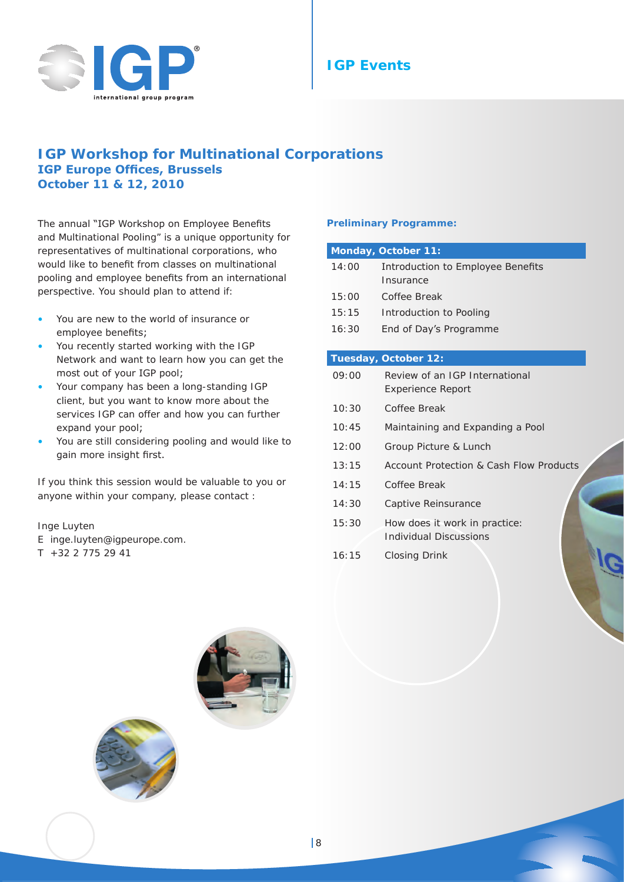

## **IGP Workshop for Multinational Corporations IGP Europe Offices, Brussels October 11 & 12, 2010**

The annual "IGP Workshop on Employee Benefits and Multinational Pooling" is a unique opportunity for representatives of multinational corporations, who would like to benefit from classes on multinational pooling and employee benefits from an international perspective. You should plan to attend if:

- You are new to the world of insurance or employee benefits;
- You recently started working with the IGP Network and want to learn how you can get the most out of your IGP pool;
- Your company has been a long-standing IGP client, but you want to know more about the services IGP can offer and how you can further expand your pool;
- You are still considering pooling and would like to gain more insight first.

If you think this session would be valuable to you or anyone within your company, please contact :

#### Inge Luyten

- E inge.luyten@igpeurope.com.
- $T$  +32 2 775 29 41

#### **Preliminary Programme:**

|       | <b>Monday, October 11:</b>              |
|-------|-----------------------------------------|
| 14:00 | Introduction to Employee Benefits       |
|       | Insurance                               |
| 15:00 | Coffee Break                            |
| 15:15 | Introduction to Pooling                 |
| 16:30 | End of Day's Programme                  |
|       |                                         |
|       | Tuesday, October 12:                    |
| 09:00 | Review of an IGP International          |
|       | <b>Experience Report</b>                |
| 10:30 | Coffee Break                            |
| 10:45 | Maintaining and Expanding a Pool        |
| 12:00 | Group Picture & Lunch                   |
| 13:15 | Account Protection & Cash Flow Products |
| 14:15 | Coffee Break                            |
| 14:30 | Captive Reinsurance                     |
| 15:30 | How does it work in practice:           |
|       | Individual Discussions                  |
| 16:15 | Closing Drink                           |
|       |                                         |
|       |                                         |



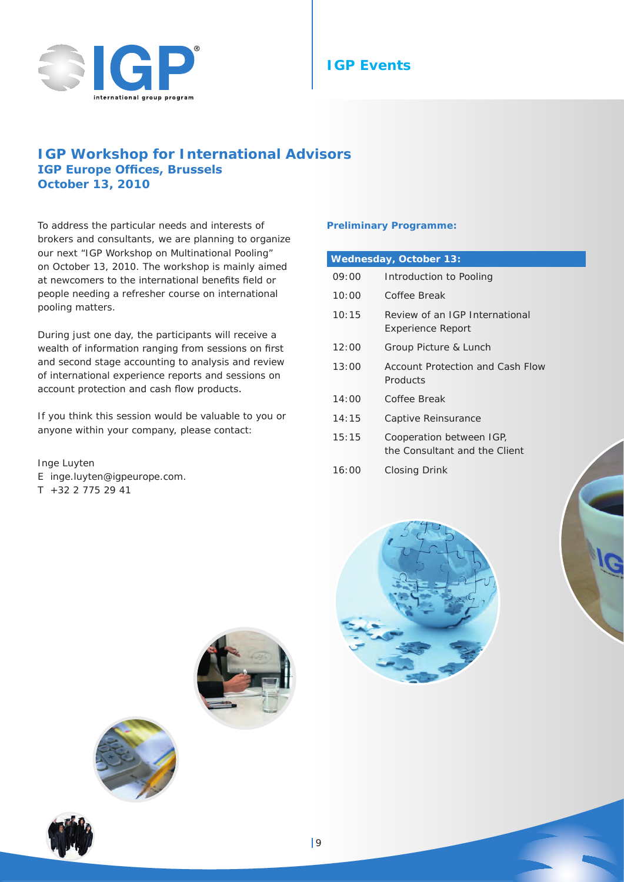

## **IGP Workshop for International Advisors IGP Europe Offices, Brussels October 13, 2010**

To address the particular needs and interests of brokers and consultants, we are planning to organize our next "IGP Workshop on Multinational Pooling" on October 13, 2010. The workshop is mainly aimed at newcomers to the international benefits field or people needing a refresher course on international pooling matters.

During just one day, the participants will receive a wealth of information ranging from sessions on first and second stage accounting to analysis and review of international experience reports and sessions on account protection and cash flow products.

If you think this session would be valuable to you or anyone within your company, please contact:

Inge Luyten E inge.luyten@igpeurope.com.  $T$  +32 2 775 29 41

#### **Preliminary Programme:**

| <b>Wednesday, October 13:</b> |                                                            |  |  |
|-------------------------------|------------------------------------------------------------|--|--|
| 09:00                         | Introduction to Pooling                                    |  |  |
| 10:00                         | Coffee Break                                               |  |  |
| 10:15                         | Review of an IGP International<br><b>Experience Report</b> |  |  |
| 12:00                         | Group Picture & Lunch                                      |  |  |
| 13:00                         | Account Protection and Cash Flow<br>Products               |  |  |
| 14:00                         | Coffee Break                                               |  |  |
| 14:15                         | Captive Reinsurance                                        |  |  |
| 15:15                         | Cooperation between IGP,<br>the Consultant and the Client  |  |  |
| 16:00                         | Closing Drink                                              |  |  |





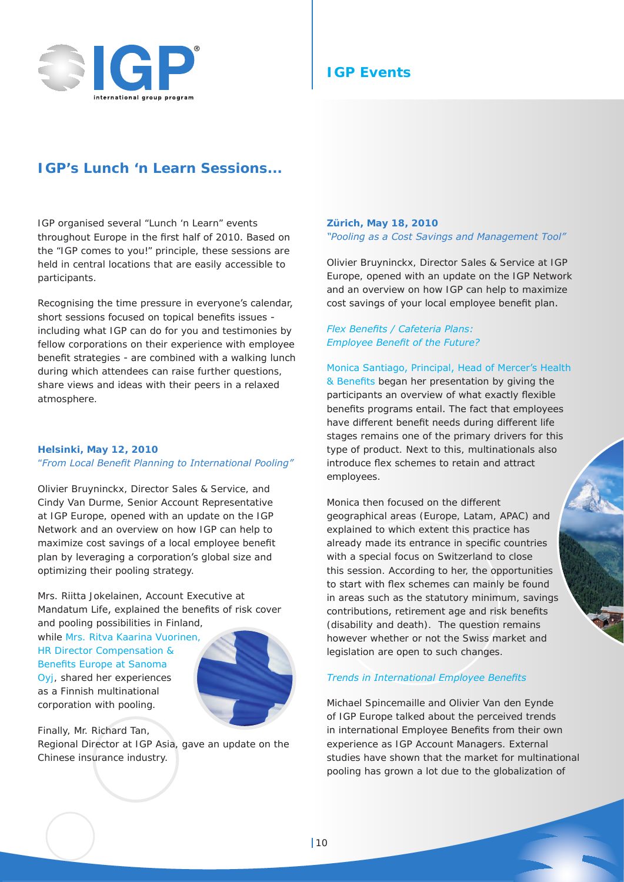

## **IGP's Lunch 'n Learn Sessions...**

IGP organised several "Lunch 'n Learn" events throughout Europe in the first half of 2010. Based on the "IGP comes to you!" principle, these sessions are held in central locations that are easily accessible to participants.

Recognising the time pressure in everyone's calendar, short sessions focused on topical benefits issues including what IGP can do for you and testimonies by fellow corporations on their experience with employee benefit strategies - are combined with a walking lunch during which attendees can raise further questions, share views and ideas with their peers in a relaxed atmosphere.

#### **Helsinki, May 12, 2010**

#### "*From Local Benefit Planning to International Pooling"*

Olivier Bruyninckx, Director Sales & Service, and Cindy Van Durme, Senior Account Representative at IGP Europe, opened with an update on the IGP Network and an overview on how IGP can help to maximize cost savings of a local employee benefit plan by leveraging a corporation's global size and optimizing their pooling strategy.

Mrs. Riitta Jokelainen, Account Executive at Mandatum Life, explained the benefits of risk cover and pooling possibilities in Finland,

while Mrs. Ritva Kaarina Vuorinen, HR Director Compensation & Benefits Europe at Sanoma

Oyj, shared her experiences as a Finnish multinational corporation with pooling.

Finally, Mr. Richard Tan, Regional Director at IGP Asia, gave an update on the Chinese insurance industry.

#### **Zürich, May 18, 2010** *"Pooling as a Cost Savings and Management Tool"*

Olivier Bruyninckx, Director Sales & Service at IGP Europe, opened with an update on the IGP Network and an overview on how IGP can help to maximize cost savings of your local employee benefit plan.

#### *Flex Benefits / Cafeteria Plans: Employee Benefit of the Future?*

Monica Santiago, Principal, Head of Mercer's Health

& Benefits began her presentation by giving the participants an overview of what exactly flexible benefits programs entail. The fact that employees have different benefit needs during different life stages remains one of the primary drivers for this type of product. Next to this, multinationals also introduce flex schemes to retain and attract employees.

Monica then focused on the different geographical areas (Europe, Latam, APAC) and explained to which extent this practice has already made its entrance in specific countries with a special focus on Switzerland to close this session. According to her, the opportunities to start with flex schemes can mainly be found in areas such as the statutory minimum, savings contributions, retirement age and risk benefits (disability and death). The question remains however whether or not the Swiss market and legislation are open to such changes.

#### *Trends in International Employee Benefits*

Michael Spincemaille and Olivier Van den Eynde of IGP Europe talked about the perceived trends in international Employee Benefits from their own experience as IGP Account Managers. External studies have shown that the market for multinational pooling has grown a lot due to the globalization of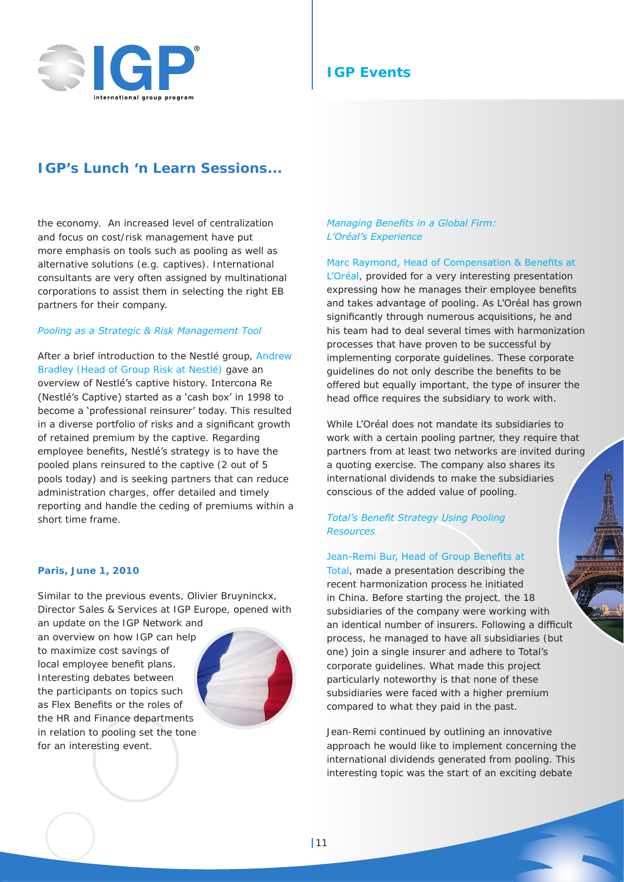

## **IGP's Lunch 'n Learn Sessions...**

the economy. An increased level of centralization and focus on cost/risk management have put more emphasis on tools such as pooling as well as alternative solutions (e.g. captives). International consultants are very often assigned by multinational corporations to assist them in selecting the right EB partners for their company.

#### *Pooling as a Strategic & Risk Management Tool*

After a brief introduction to the Nestlé group, Andrew Bradley (Head of Group Risk at Nestlé) gave an overview of Nestlé's captive history. Intercona Re (Nestlé's Captive) started as a 'cash box' in 1998 to become a 'professional reinsurer' today. This resulted in a diverse portfolio of risks and a significant growth of retained premium by the captive. Regarding employee benefits, Nestlé's strategy is to have the pooled plans reinsured to the captive (2 out of 5 pools today) and is seeking partners that can reduce administration charges, offer detailed and timely reporting and handle the ceding of premiums within a short time frame.

#### **Paris, June 1, 2010**

Similar to the previous events, Olivier Bruyninckx, Director Sales & Services at IGP Europe, opened with

an update on the IGP Network and an overview on how IGP can help to maximize cost savings of local employee benefit plans. Interesting debates between the participants on topics such as Flex Benefits or the roles of the HR and Finance departments in relation to pooling set the tone for an interesting event.



#### *Managing Benefits in a Global Firm: L'Oréal's Experience*

Marc Raymond, Head of Compensation & Benefits at L'Oréal, provided for a very interesting presentation expressing how he manages their employee benefits and takes advantage of pooling. As L'Oréal has grown significantly through numerous acquisitions, he and his team had to deal several times with harmonization processes that have proven to be successful by implementing corporate guidelines. These corporate guidelines do not only describe the benefits to be offered but equally important, the type of insurer the head office requires the subsidiary to work with.

While L'Oréal does not mandate its subsidiaries to work with a certain pooling partner, they require that partners from at least two networks are invited during a quoting exercise. The company also shares its international dividends to make the subsidiaries conscious of the added value of pooling.

#### *Total's Benefit Strategy Using Pooling Resources*

#### Jean-Remi Bur, Head of Group Benefits at

Total, made a presentation describing the recent harmonization process he initiated in China. Before starting the project, the 18 subsidiaries of the company were working with an identical number of insurers. Following a difficult process, he managed to have all subsidiaries (but one) join a single insurer and adhere to Total's corporate guidelines. What made this project particularly noteworthy is that none of these subsidiaries were faced with a higher premium compared to what they paid in the past.

Jean-Remi continued by outlining an innovative approach he would like to implement concerning the international dividends generated from pooling. This interesting topic was the start of an exciting debate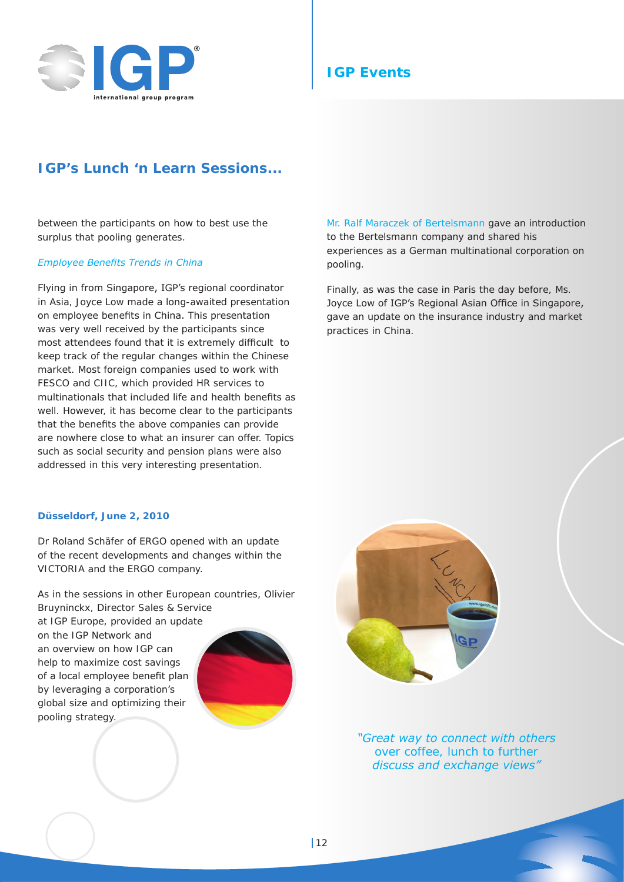

## **IGP's Lunch 'n Learn Sessions...**

between the participants on how to best use the surplus that pooling generates.

#### *Employee Benefits Trends in China*

Flying in from Singapore, IGP's regional coordinator in Asia, Joyce Low made a long-awaited presentation on employee benefits in China. This presentation was very well received by the participants since most attendees found that it is extremely difficult to keep track of the regular changes within the Chinese market. Most foreign companies used to work with FESCO and CIIC, which provided HR services to multinationals that included life and health benefits as well. However, it has become clear to the participants that the benefits the above companies can provide are nowhere close to what an insurer can offer. Topics such as social security and pension plans were also addressed in this very interesting presentation.

#### **Düsseldorf, June 2, 2010**

Dr Roland Schäfer of ERGO opened with an update of the recent developments and changes within the VICTORIA and the ERGO company.

As in the sessions in other European countries, Olivier Bruyninckx, Director Sales & Service at IGP Europe, provided an update on the IGP Network and an overview on how IGP can help to maximize cost savings of a local employee benefit plan by leveraging a corporation's global size and optimizing their pooling strategy.



Finally, as was the case in Paris the day before, Ms. Joyce Low of IGP's Regional Asian Office in Singapore, gave an update on the insurance industry and market practices in China.



*"Great way to connect with others over coffee, lunch to further discuss and exchange views"*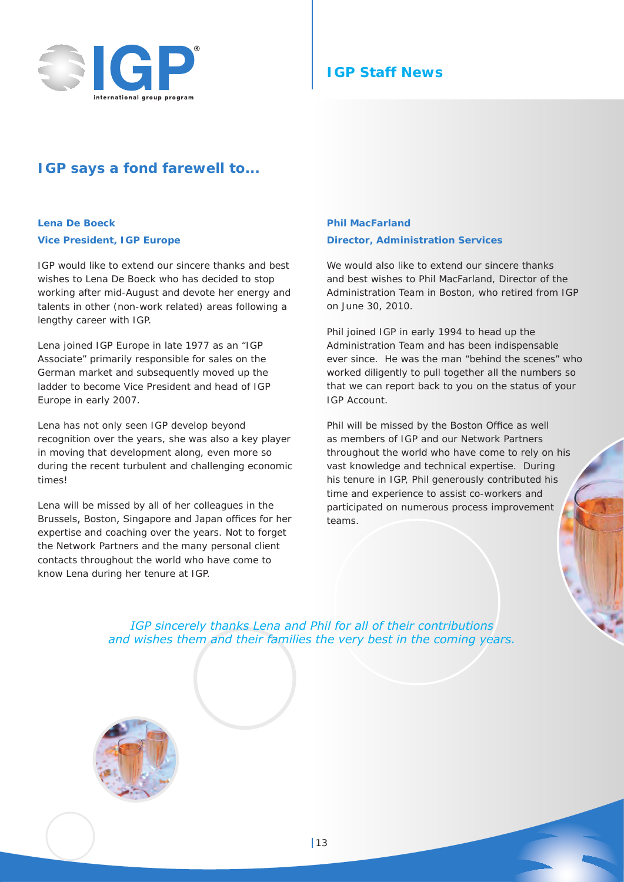

## **IGP Staff News**

## **IGP says a fond farewell to...**

#### **Lena De Boeck Vice President, IGP Europe**

IGP would like to extend our sincere thanks and best wishes to Lena De Boeck who has decided to stop working after mid-August and devote her energy and talents in other (non-work related) areas following a lengthy career with IGP.

Lena joined IGP Europe in late 1977 as an "IGP Associate" primarily responsible for sales on the German market and subsequently moved up the ladder to become Vice President and head of IGP Europe in early 2007.

Lena has not only seen IGP develop beyond recognition over the years, she was also a key player in moving that development along, even more so during the recent turbulent and challenging economic times!

Lena will be missed by all of her colleagues in the Brussels, Boston, Singapore and Japan offices for her expertise and coaching over the years. Not to forget the Network Partners and the many personal client contacts throughout the world who have come to know Lena during her tenure at IGP.

#### **Phil MacFarland Director, Administration Services**

We would also like to extend our sincere thanks and best wishes to Phil MacFarland, Director of the Administration Team in Boston, who retired from IGP on June 30, 2010.

Phil joined IGP in early 1994 to head up the Administration Team and has been indispensable ever since. He was the man "behind the scenes" who worked diligently to pull together all the numbers so that we can report back to you on the status of your IGP Account.

Phil will be missed by the Boston Office as well as members of IGP and our Network Partners throughout the world who have come to rely on his vast knowledge and technical expertise. During his tenure in IGP, Phil generously contributed his time and experience to assist co-workers and participated on numerous process improvement teams.

*IGP sincerely thanks Lena and Phil for all of their contributions and wishes them and their families the very best in the coming years.*

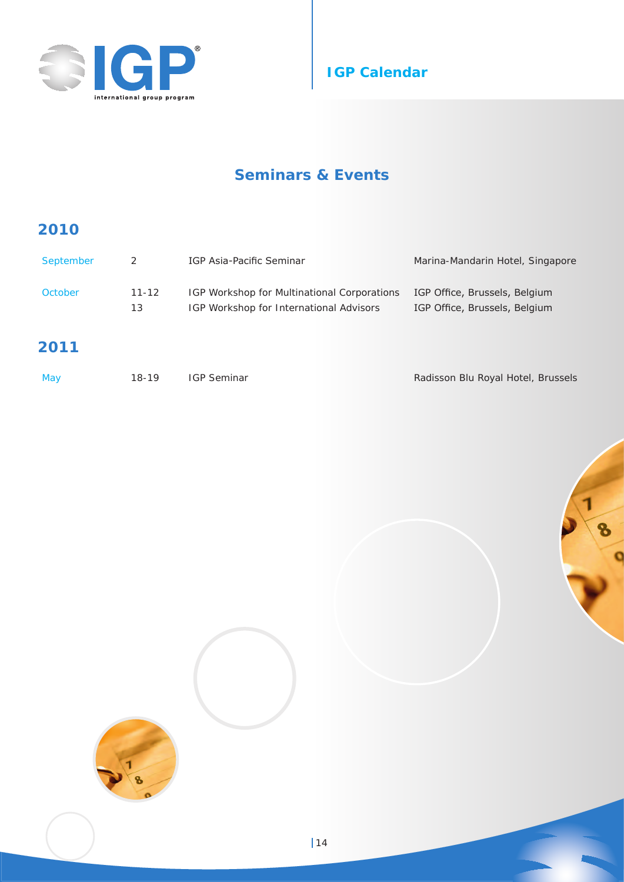



# **Seminars & Events**

## **2010**

| September | 2         | IGP Asia-Pacific Seminar                    | Marina-Mandarin Hotel, Singapore |
|-----------|-----------|---------------------------------------------|----------------------------------|
| October   | $11 - 12$ | IGP Workshop for Multinational Corporations | IGP Office, Brussels, Belgium    |
|           | 13        | IGP Workshop for International Advisors     | IGP Office, Brussels, Belgium    |

## **2011**

| May | 18-19 | <b>IGP Seminar</b> | Radisson Blu Royal Hotel, Brussels |
|-----|-------|--------------------|------------------------------------|
|     |       |                    |                                    |

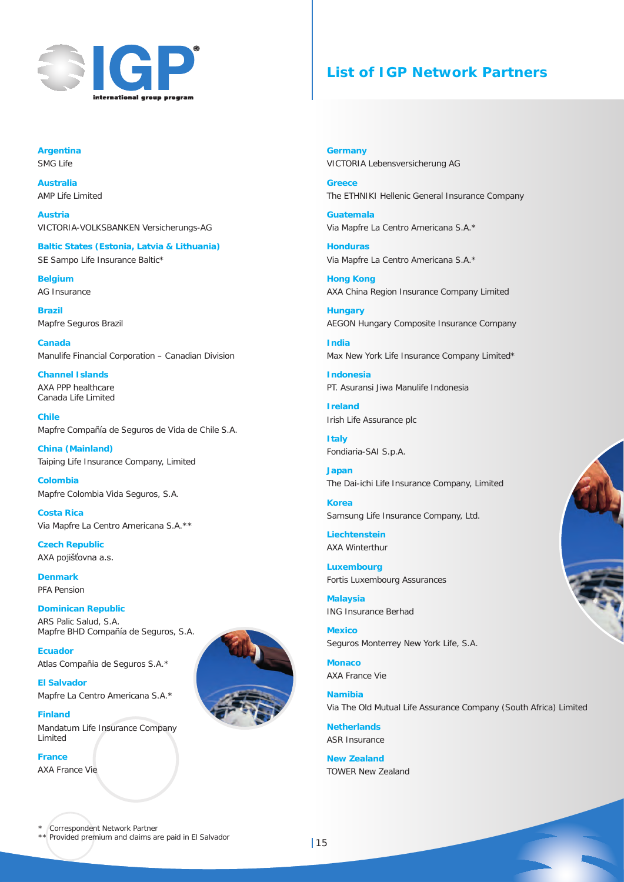

## **List of IGP Network Partners**

**Argentina** SMG Life

**Australia** AMP Life Limited

**Austria** VICTORIA-VOLKSBANKEN Versicherungs-AG

**Baltic States (Estonia, Latvia & Lithuania)** SE Sampo Life Insurance Baltic\*

**Belgium** AG Insurance

**Brazil** Mapfre Seguros Brazil

**Canada** Manulife Financial Corporation – Canadian Division

**Channel Islands** AXA PPP healthcare Canada Life Limited

**Chile** Mapfre Compañía de Seguros de Vida de Chile S.A.

**China (Mainland)** Taiping Life Insurance Company, Limited

**Colombia** Mapfre Colombia Vida Seguros, S.A.

**Costa Rica** Via Mapfre La Centro Americana S.A.\*\*

**Czech Republic** AXA pojišťovna a.s.

**Denmark** PFA Pension

#### **Dominican Republic**

ARS Palic Salud, S.A. Mapfre BHD Compañía de Seguros, S.A.

**Ecuador** Atlas Compañia de Seguros S.A.\*

**El Salvador** Mapfre La Centro Americana S.A.\*

**Finland** Mandatum Life Insurance Company Limited

**France**  AXA France Vie

**Germany** VICTORIA Lebensversicherung AG

**Greece** The ETHNIKI Hellenic General Insurance Company

**Guatemala** Via Mapfre La Centro Americana S.A.\*

**Honduras** Via Mapfre La Centro Americana S.A.\*

**Hong Kong** AXA China Region Insurance Company Limited

**Hungary** AEGON Hungary Composite Insurance Company

**India** Max New York Life Insurance Company Limited\*

**Indonesia** PT. Asuransi Jiwa Manulife Indonesia

**Ireland** Irish Life Assurance plc

**Italy** Fondiaria-SAI S.p.A.

**Japan** The Dai-ichi Life Insurance Company, Limited

**Korea** Samsung Life Insurance Company, Ltd.

**Liechtenstein** AXA Winterthur

**Luxembourg** Fortis Luxembourg Assurances

**Malaysia** ING Insurance Berhad

**Mexico** Seguros Monterrey New York Life, S.A.

**Monaco** AXA France Vie

**Namibia** Via The Old Mutual Life Assurance Company (South Africa) Limited

**Netherlands** ASR Insurance

**New Zealand** TOWER New Zealand



\* Correspondent Network Partner \*\* Provided premium and claims are paid in El Salvador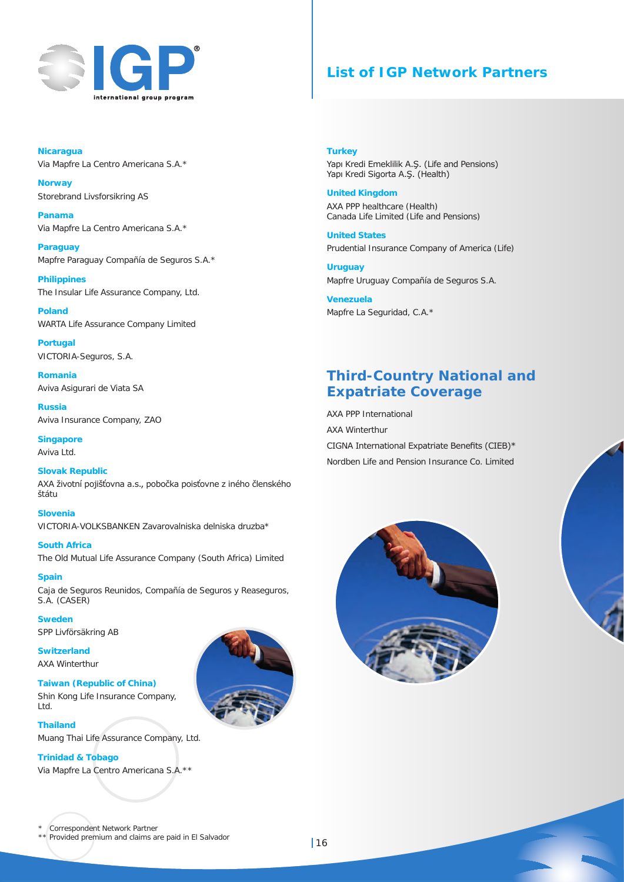

## **List of IGP Network Partners**

**Nicaragua**  Via Mapfre La Centro Americana S.A.\*

**Norway** Storebrand Livsforsikring AS

**Panama** Via Mapfre La Centro Americana S.A.\*

**Paraguay** Mapfre Paraguay Compañía de Seguros S.A.\*

**Philippines** The Insular Life Assurance Company, Ltd.

**Poland** WARTA Life Assurance Company Limited

**Portugal** VICTORIA-Seguros, S.A.

**Romania** Aviva Asigurari de Viata SA

**Russia** Aviva Insurance Company, ZAO

**Singapore** Aviva Ltd.

#### **Slovak Republic**

AXA životní pojišťovna a.s., pobočka poisťovne z iného členského štátu

**Slovenia** VICTORIA-VOLKSBANKEN Zavarovalniska delniska druzba\*

**South Africa** The Old Mutual Life Assurance Company (South Africa) Limited

**Spain** Caja de Seguros Reunidos, Compañía de Seguros y Reaseguros, S.A. (CASER)

**Sweden** SPP Livförsäkring AB

**Switzerland** AXA Winterthur

#### **Taiwan (Republic of China)** Shin Kong Life Insurance Company, Ltd.

**Thailand**

Muang Thai Life Assurance Company, Ltd.

#### **Trinidad & Tobago**

Via Mapfre La Centro Americana S.A.\*\*



#### **Turkey**

Yapı Kredi Emeklilik A.Ş. (Life and Pensions) Yapı Kredi Sigorta A.Ş. (Health)

#### **United Kingdom**

AXA PPP healthcare (Health) Canada Life Limited (Life and Pensions)

**United States** Prudential Insurance Company of America (Life)

**Uruguay** Mapfre Uruguay Compañía de Seguros S.A.

**Venezuela** Mapfre La Seguridad, C.A.\*

## **Third-Country National and Expatriate Coverage**

AXA PPP International AXA Winterthur CIGNA International Expatriate Benefits (CIEB)\* Nordben Life and Pension Insurance Co. Limited





\*\* Provided premium and claims are paid in El Salvador